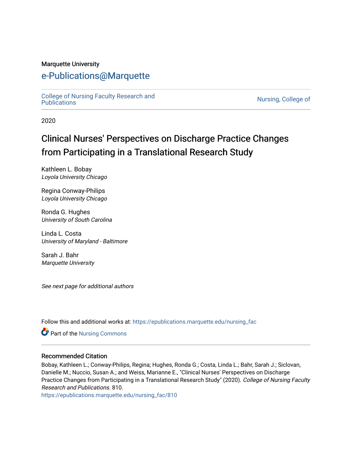#### Marquette University

#### [e-Publications@Marquette](https://epublications.marquette.edu/)

[College of Nursing Faculty Research and](https://epublications.marquette.edu/nursing_fac)<br>Publications

Nursing, College of

2020

# Clinical Nurses' Perspectives on Discharge Practice Changes from Participating in a Translational Research Study

Kathleen L. Bobay Loyola University Chicago

Regina Conway-Philips Loyola University Chicago

Ronda G. Hughes University of South Carolina

Linda L. Costa University of Maryland - Baltimore

Sarah J. Bahr Marquette University

See next page for additional authors

Follow this and additional works at: [https://epublications.marquette.edu/nursing\\_fac](https://epublications.marquette.edu/nursing_fac?utm_source=epublications.marquette.edu%2Fnursing_fac%2F810&utm_medium=PDF&utm_campaign=PDFCoverPages)

Part of the [Nursing Commons](http://network.bepress.com/hgg/discipline/718?utm_source=epublications.marquette.edu%2Fnursing_fac%2F810&utm_medium=PDF&utm_campaign=PDFCoverPages) 

#### Recommended Citation

Bobay, Kathleen L.; Conway-Philips, Regina; Hughes, Ronda G.; Costa, Linda L.; Bahr, Sarah J.; Siclovan, Danielle M.; Nuccio, Susan A.; and Weiss, Marianne E., "Clinical Nurses' Perspectives on Discharge Practice Changes from Participating in a Translational Research Study" (2020). College of Nursing Faculty Research and Publications. 810.

[https://epublications.marquette.edu/nursing\\_fac/810](https://epublications.marquette.edu/nursing_fac/810?utm_source=epublications.marquette.edu%2Fnursing_fac%2F810&utm_medium=PDF&utm_campaign=PDFCoverPages)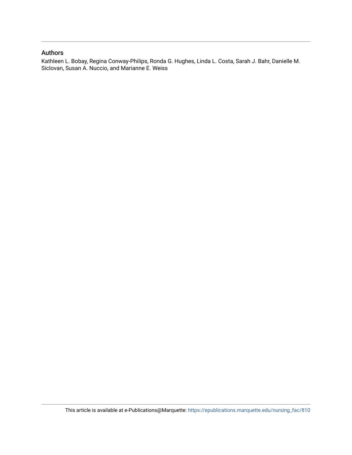#### Authors

Kathleen L. Bobay, Regina Conway-Philips, Ronda G. Hughes, Linda L. Costa, Sarah J. Bahr, Danielle M. Siclovan, Susan A. Nuccio, and Marianne E. Weiss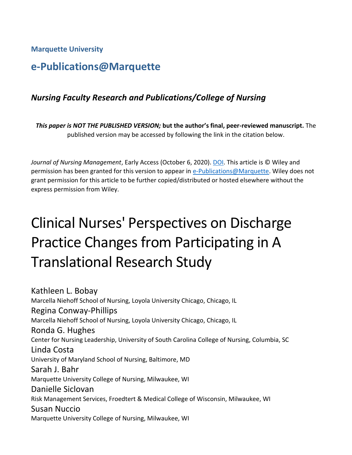**Marquette University**

# **e-Publications@Marquette**

#### *Nursing Faculty Research and Publications/College of Nursing*

*This paper is NOT THE PUBLISHED VERSION;* **but the author's final, peer-reviewed manuscript.** The published version may be accessed by following the link in the citation below.

*Journal of Nursing Management*, Early Access (October 6, 2020). [DOI.](https://doi.org/10.1111/jonm.13171) This article is © Wiley and permission has been granted for this version to appear in [e-Publications@Marquette.](http://epublications.marquette.edu/) Wiley does not grant permission for this article to be further copied/distributed or hosted elsewhere without the express permission from Wiley.

# Clinical Nurses' Perspectives on Discharge Practice Changes from Participating in A Translational Research Study

Kathleen L. Bobay Marcella Niehoff School of Nursing, Loyola University Chicago, Chicago, IL Regina Conway‐Phillips Marcella Niehoff School of Nursing, Loyola University Chicago, Chicago, IL Ronda G. Hughes Center for Nursing Leadership, University of South Carolina College of Nursing, Columbia, SC Linda Costa University of Maryland School of Nursing, Baltimore, MD Sarah J. Bahr Marquette University College of Nursing, Milwaukee, WI Danielle Siclovan Risk Management Services, Froedtert & Medical College of Wisconsin, Milwaukee, WI Susan Nuccio Marquette University College of Nursing, Milwaukee, WI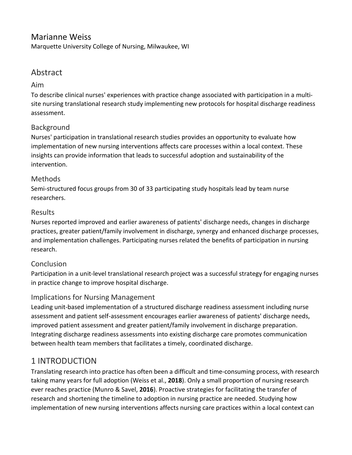#### Marianne Weiss

Marquette University College of Nursing, Milwaukee, WI

#### Abstract

#### Aim

To describe clinical nurses' experiences with practice change associated with participation in a multi‐ site nursing translational research study implementing new protocols for hospital discharge readiness assessment.

#### Background

Nurses' participation in translational research studies provides an opportunity to evaluate how implementation of new nursing interventions affects care processes within a local context. These insights can provide information that leads to successful adoption and sustainability of the intervention.

#### Methods

Semi-structured focus groups from 30 of 33 participating study hospitals lead by team nurse researchers.

#### Results

Nurses reported improved and earlier awareness of patients' discharge needs, changes in discharge practices, greater patient/family involvement in discharge, synergy and enhanced discharge processes, and implementation challenges. Participating nurses related the benefits of participation in nursing research.

#### Conclusion

Participation in a unit‐level translational research project was a successful strategy for engaging nurses in practice change to improve hospital discharge.

#### Implications for Nursing Management

Leading unit-based implementation of a structured discharge readiness assessment including nurse assessment and patient self‐assessment encourages earlier awareness of patients' discharge needs, improved patient assessment and greater patient/family involvement in discharge preparation. Integrating discharge readiness assessments into existing discharge care promotes communication between health team members that facilitates a timely, coordinated discharge.

## 1 INTRODUCTION

Translating research into practice has often been a difficult and time‐consuming process, with research taking many years for full adoption (Weiss et al., **2018**). Only a small proportion of nursing research ever reaches practice (Munro & Savel, **2016**). Proactive strategies for facilitating the transfer of research and shortening the timeline to adoption in nursing practice are needed. Studying how implementation of new nursing interventions affects nursing care practices within a local context can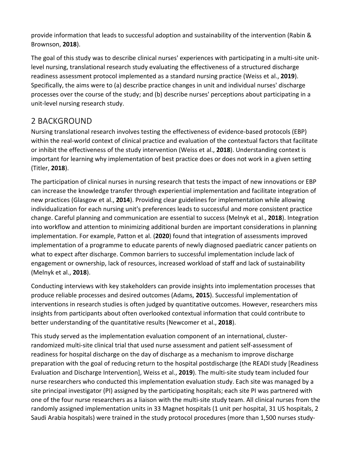provide information that leads to successful adoption and sustainability of the intervention (Rabin & Brownson, **2018**).

The goal of this study was to describe clinical nurses' experiences with participating in a multi‐site unit‐ level nursing, translational research study evaluating the effectiveness of a structured discharge readiness assessment protocol implemented as a standard nursing practice (Weiss et al., **2019**). Specifically, the aims were to (a) describe practice changes in unit and individual nurses' discharge processes over the course of the study; and (b) describe nurses' perceptions about participating in a unit‐level nursing research study.

#### 2 BACKGROUND

Nursing translational research involves testing the effectiveness of evidence‐based protocols (EBP) within the real-world context of clinical practice and evaluation of the contextual factors that facilitate or inhibit the effectiveness of the study intervention (Weiss et al., **2018**). Understanding context is important for learning why implementation of best practice does or does not work in a given setting (Titler, **2018**).

The participation of clinical nurses in nursing research that tests the impact of new innovations or EBP can increase the knowledge transfer through experiential implementation and facilitate integration of new practices (Glasgow et al., **2014**). Providing clear guidelines for implementation while allowing individualization for each nursing unit's preferences leads to successful and more consistent practice change. Careful planning and communication are essential to success (Melnyk et al., **2018**). Integration into workflow and attention to minimizing additional burden are important considerations in planning implementation. For example, Patton et al. (**2020**) found that integration of assessments improved implementation of a programme to educate parents of newly diagnosed paediatric cancer patients on what to expect after discharge. Common barriers to successful implementation include lack of engagement or ownership, lack of resources, increased workload of staff and lack of sustainability (Melnyk et al., **2018**).

Conducting interviews with key stakeholders can provide insights into implementation processes that produce reliable processes and desired outcomes (Adams, **2015**). Successful implementation of interventions in research studies is often judged by quantitative outcomes. However, researchers miss insights from participants about often overlooked contextual information that could contribute to better understanding of the quantitative results (Newcomer et al., **2018**).

This study served as the implementation evaluation component of an international, cluster‐ randomized multi‐site clinical trial that used nurse assessment and patient self‐assessment of readiness for hospital discharge on the day of discharge as a mechanism to improve discharge preparation with the goal of reducing return to the hospital postdischarge (the READI study [Readiness Evaluation and Discharge Intervention], Weiss et al., **2019**). The multi‐site study team included four nurse researchers who conducted this implementation evaluation study. Each site was managed by a site principal investigator (PI) assigned by the participating hospitals; each site PI was partnered with one of the four nurse researchers as a liaison with the multi‐site study team. All clinical nurses from the randomly assigned implementation units in 33 Magnet hospitals (1 unit per hospital, 31 US hospitals, 2 Saudi Arabia hospitals) were trained in the study protocol procedures (more than 1,500 nurses study‐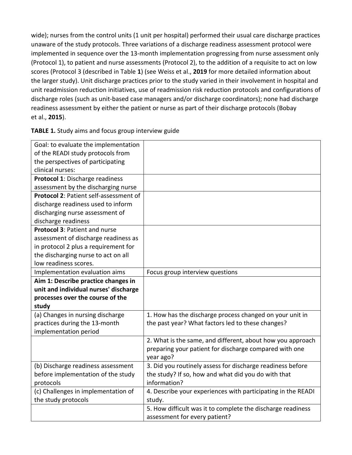wide); nurses from the control units (1 unit per hospital) performed their usual care discharge practices unaware of the study protocols. Three variations of a discharge readiness assessment protocol were implemented in sequence over the 13-month implementation progressing from nurse assessment only (Protocol 1), to patient and nurse assessments (Protocol 2), to the addition of a requisite to act on low scores (Protocol 3 (described in Table **1**) (see Weiss et al., **2019** for more detailed information about the larger study). Unit discharge practices prior to the study varied in their involvement in hospital and unit readmission reduction initiatives, use of readmission risk reduction protocols and configurations of discharge roles (such as unit‐based case managers and/or discharge coordinators); none had discharge readiness assessment by either the patient or nurse as part of their discharge protocols (Bobay et al., **2015**).

| Goal: to evaluate the implementation   |                                                              |
|----------------------------------------|--------------------------------------------------------------|
| of the READI study protocols from      |                                                              |
| the perspectives of participating      |                                                              |
| clinical nurses:                       |                                                              |
| Protocol 1: Discharge readiness        |                                                              |
| assessment by the discharging nurse    |                                                              |
| Protocol 2: Patient self-assessment of |                                                              |
| discharge readiness used to inform     |                                                              |
| discharging nurse assessment of        |                                                              |
| discharge readiness                    |                                                              |
| <b>Protocol 3: Patient and nurse</b>   |                                                              |
| assessment of discharge readiness as   |                                                              |
| in protocol 2 plus a requirement for   |                                                              |
| the discharging nurse to act on all    |                                                              |
| low readiness scores.                  |                                                              |
| Implementation evaluation aims         | Focus group interview questions                              |
| Aim 1: Describe practice changes in    |                                                              |
| unit and individual nurses' discharge  |                                                              |
| processes over the course of the       |                                                              |
| study                                  |                                                              |
| (a) Changes in nursing discharge       | 1. How has the discharge process changed on your unit in     |
| practices during the 13-month          | the past year? What factors led to these changes?            |
| implementation period                  |                                                              |
|                                        | 2. What is the same, and different, about how you approach   |
|                                        | preparing your patient for discharge compared with one       |
|                                        | year ago?                                                    |
| (b) Discharge readiness assessment     | 3. Did you routinely assess for discharge readiness before   |
| before implementation of the study     | the study? If so, how and what did you do with that          |
| protocols                              | information?                                                 |
| (c) Challenges in implementation of    | 4. Describe your experiences with participating in the READI |
| the study protocols                    | study.                                                       |
|                                        | 5. How difficult was it to complete the discharge readiness  |
|                                        | assessment for every patient?                                |

**TABLE 1.** Study aims and focus group interview guide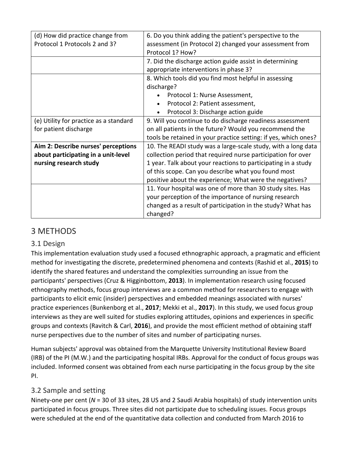| (d) How did practice change from       | 6. Do you think adding the patient's perspective to the         |
|----------------------------------------|-----------------------------------------------------------------|
| Protocol 1 Protocols 2 and 3?          | assessment (in Protocol 2) changed your assessment from         |
|                                        | Protocol 1? How?                                                |
|                                        | 7. Did the discharge action guide assist in determining         |
|                                        | appropriate interventions in phase 3?                           |
|                                        | 8. Which tools did you find most helpful in assessing           |
|                                        | discharge?                                                      |
|                                        | Protocol 1: Nurse Assessment,                                   |
|                                        | Protocol 2: Patient assessment,                                 |
|                                        | Protocol 3: Discharge action guide                              |
| (e) Utility for practice as a standard | 9. Will you continue to do discharge readiness assessment       |
| for patient discharge                  | on all patients in the future? Would you recommend the          |
|                                        | tools be retained in your practice setting: if yes, which ones? |
| Aim 2: Describe nurses' perceptions    | 10. The READI study was a large-scale study, with a long data   |
| about participating in a unit-level    | collection period that required nurse participation for over    |
| nursing research study                 | 1 year. Talk about your reactions to participating in a study   |
|                                        | of this scope. Can you describe what you found most             |
|                                        | positive about the experience; What were the negatives?         |
|                                        | 11. Your hospital was one of more than 30 study sites. Has      |
|                                        | your perception of the importance of nursing research           |
|                                        | changed as a result of participation in the study? What has     |
|                                        | changed?                                                        |

#### 3 METHODS

#### 3.1 Design

This implementation evaluation study used a focused ethnographic approach, a pragmatic and efficient method for investigating the discrete, predetermined phenomena and contexts (Rashid et al., **2015**) to identify the shared features and understand the complexities surrounding an issue from the participants' perspectives (Cruz & Higginbottom, **2013**). In implementation research using focused ethnography methods, focus group interviews are a common method for researchers to engage with participants to elicit emic (insider) perspectives and embedded meanings associated with nurses' practice experiences (Bunkenborg et al., **2017**; Mekki et al., **2017**). In this study, we used focus group interviews as they are well suited for studies exploring attitudes, opinions and experiences in specific groups and contexts (Ravitch & Carl, **2016**), and provide the most efficient method of obtaining staff nurse perspectives due to the number of sites and number of participating nurses.

Human subjects' approval was obtained from the Marquette University Institutional Review Board (IRB) of the PI (M.W.) and the participating hospital IRBs. Approval for the conduct of focus groups was included. Informed consent was obtained from each nurse participating in the focus group by the site PI.

#### 3.2 Sample and setting

Ninety‐one per cent (*N* = 30 of 33 sites, 28 US and 2 Saudi Arabia hospitals) of study intervention units participated in focus groups. Three sites did not participate due to scheduling issues. Focus groups were scheduled at the end of the quantitative data collection and conducted from March 2016 to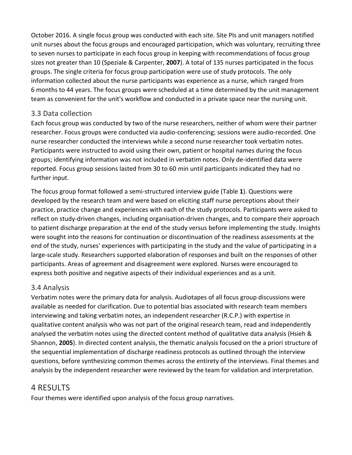October 2016. A single focus group was conducted with each site. Site PIs and unit managers notified unit nurses about the focus groups and encouraged participation, which was voluntary, recruiting three to seven nurses to participate in each focus group in keeping with recommendations of focus group sizes not greater than 10 (Speziale & Carpenter, **2007**). A total of 135 nurses participated in the focus groups. The single criteria for focus group participation were use of study protocols. The only information collected about the nurse participants was experience as a nurse, which ranged from 6 months to 44 years. The focus groups were scheduled at a time determined by the unit management team as convenient for the unit's workflow and conducted in a private space near the nursing unit.

#### 3.3 Data collection

Each focus group was conducted by two of the nurse researchers, neither of whom were their partner researcher. Focus groups were conducted via audio‐conferencing; sessions were audio‐recorded. One nurse researcher conducted the interviews while a second nurse researcher took verbatim notes. Participants were instructed to avoid using their own, patient or hospital names during the focus groups; identifying information was not included in verbatim notes. Only de‐identified data were reported. Focus group sessions lasted from 30 to 60 min until participants indicated they had no further input.

The focus group format followed a semi‐structured interview guide (Table **1**). Questions were developed by the research team and were based on eliciting staff nurse perceptions about their practice, practice change and experiences with each of the study protocols. Participants were asked to reflect on study‐driven changes, including organisation‐driven changes, and to compare their approach to patient discharge preparation at the end of the study versus before implementing the study. Insights were sought into the reasons for continuation or discontinuation of the readiness assessments at the end of the study, nurses' experiences with participating in the study and the value of participating in a large‐scale study. Researchers supported elaboration of responses and built on the responses of other participants. Areas of agreement and disagreement were explored. Nurses were encouraged to express both positive and negative aspects of their individual experiences and as a unit.

#### 3.4 Analysis

Verbatim notes were the primary data for analysis. Audiotapes of all focus group discussions were available as needed for clarification. Due to potential bias associated with research team members interviewing and taking verbatim notes, an independent researcher (R.C.P.) with expertise in qualitative content analysis who was not part of the original research team, read and independently analysed the verbatim notes using the directed content method of qualitative data analysis (Hsieh & Shannon, **2005**). In directed content analysis, the thematic analysis focused on the a priori structure of the sequential implementation of discharge readiness protocols as outlined through the interview questions, before synthesizing common themes across the entirety of the interviews. Final themes and analysis by the independent researcher were reviewed by the team for validation and interpretation.

#### 4 RESULTS

Four themes were identified upon analysis of the focus group narratives.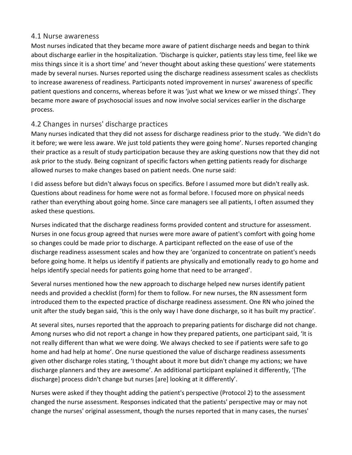#### 4.1 Nurse awareness

Most nurses indicated that they became more aware of patient discharge needs and began to think about discharge earlier in the hospitalization. 'Discharge is quicker, patients stay less time, feel like we miss things since it is a short time' and 'never thought about asking these questions' were statements made by several nurses. Nurses reported using the discharge readiness assessment scales as checklists to increase awareness of readiness. Participants noted improvement in nurses' awareness of specific patient questions and concerns, whereas before it was 'just what we knew or we missed things'. They became more aware of psychosocial issues and now involve social services earlier in the discharge process.

#### 4.2 Changes in nurses' discharge practices

Many nurses indicated that they did not assess for discharge readiness prior to the study. 'We didn't do it before; we were less aware. We just told patients they were going home'. Nurses reported changing their practice as a result of study participation because they are asking questions now that they did not ask prior to the study. Being cognizant of specific factors when getting patients ready for discharge allowed nurses to make changes based on patient needs. One nurse said:

I did assess before but didn't always focus on specifics. Before I assumed more but didn't really ask. Questions about readiness for home were not as formal before. I focused more on physical needs rather than everything about going home. Since care managers see all patients, I often assumed they asked these questions.

Nurses indicated that the discharge readiness forms provided content and structure for assessment. Nurses in one focus group agreed that nurses were more aware of patient's comfort with going home so changes could be made prior to discharge. A participant reflected on the ease of use of the discharge readiness assessment scales and how they are 'organized to concentrate on patient's needs before going home. It helps us identify if patients are physically and emotionally ready to go home and helps identify special needs for patients going home that need to be arranged'.

Several nurses mentioned how the new approach to discharge helped new nurses identify patient needs and provided a checklist (form) for them to follow. For new nurses, the RN assessment form introduced them to the expected practice of discharge readiness assessment. One RN who joined the unit after the study began said, 'this is the only way I have done discharge, so it has built my practice'.

At several sites, nurses reported that the approach to preparing patients for discharge did not change. Among nurses who did not report a change in how they prepared patients, one participant said, 'It is not really different than what we were doing. We always checked to see if patients were safe to go home and had help at home'. One nurse questioned the value of discharge readiness assessments given other discharge roles stating, 'I thought about it more but didn't change my actions; we have discharge planners and they are awesome'. An additional participant explained it differently, '[The discharge] process didn't change but nurses [are] looking at it differently'.

Nurses were asked if they thought adding the patient's perspective (Protocol 2) to the assessment changed the nurse assessment. Responses indicated that the patients' perspective may or may not change the nurses' original assessment, though the nurses reported that in many cases, the nurses'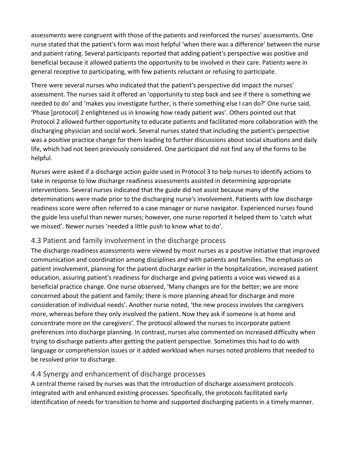assessments were congruent with those of the patients and reinforced the nurses' assessments. One nurse stated that the patient's form was most helpful 'when there was a difference' between the nurse and patient rating. Several participants reported that adding patient's perspective was positive and beneficial because it allowed patients the opportunity to be involved in their care. Patients were in general receptive to participating, with few patients reluctant or refusing to participate.

There were several nurses who indicated that the patient's perspective did impact the nurses' assessment. The nurses said it offered an 'opportunity to step back and see if there is something we needed to do' and 'makes you investigate further, is there something else I can do?' One nurse said, 'Phase [protocol] 2 enlightened us in knowing how ready patient was'. Others pointed out that Protocol 2 allowed further opportunity to educate patients and facilitated more collaboration with the discharging physician and social work. Several nurses stated that including the patient's perspective was a positive practice change for them leading to further discussions about social situations and daily life, which had not been previously considered. One participant did not find any of the forms to be helpful.

Nurses were asked if a discharge action guide used in Protocol 3 to help nurses to identify actions to take in response to low discharge readiness assessments assisted in determining appropriate interventions. Several nurses indicated that the guide did not assist because many of the determinations were made prior to the discharging nurse's involvement. Patients with low discharge readiness score were often referred to a case manager or nurse navigator. Experienced nurses found the guide less useful than newer nurses; however, one nurse reported it helped them to 'catch what we missed'. Newer nurses 'needed a little push to know what to do'.

#### 4.3 Patient and family involvement in the discharge process

The discharge readiness assessments were viewed by most nurses as a positive initiative that improved communication and coordination among disciplines and with patients and families. The emphasis on patient involvement, planning for the patient discharge earlier in the hospitalization, increased patient education, assuring patient's readiness for discharge and giving patients a voice was viewed as a beneficial practice change. One nurse observed, 'Many changes are for the better; we are more concerned about the patient and family; there is more planning ahead for discharge and more consideration of individual needs'. Another nurse noted, 'the new process involves the caregivers more, whereas before they only involved the patient. Now they ask if someone is at home and concentrate more on the caregivers'. The protocol allowed the nurses to incorporate patient preferences into discharge planning. In contrast, nurses also commented on increased difficulty when trying to discharge patients after getting the patient perspective. Sometimes this had to do with language or comprehension issues or it added workload when nurses noted problems that needed to be resolved prior to discharge.

#### 4.4 Synergy and enhancement of discharge processes

A central theme raised by nurses was that the introduction of discharge assessment protocols integrated with and enhanced existing processes. Specifically, the protocols facilitated early identification of needs for transition to home and supported discharging patients in a timely manner.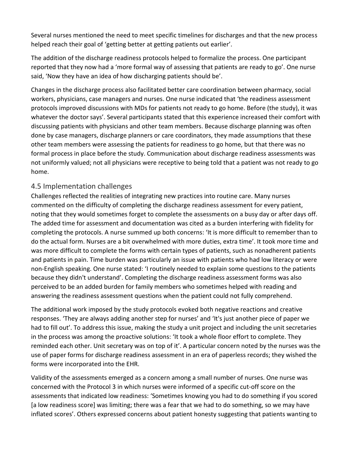Several nurses mentioned the need to meet specific timelines for discharges and that the new process helped reach their goal of 'getting better at getting patients out earlier'.

The addition of the discharge readiness protocols helped to formalize the process. One participant reported that they now had a 'more formal way of assessing that patients are ready to go'. One nurse said, 'Now they have an idea of how discharging patients should be'.

Changes in the discharge process also facilitated better care coordination between pharmacy, social workers, physicians, case managers and nurses. One nurse indicated that 'the readiness assessment protocols improved discussions with MDs for patients not ready to go home. Before (the study), it was whatever the doctor says'. Several participants stated that this experience increased their comfort with discussing patients with physicians and other team members. Because discharge planning was often done by case managers, discharge planners or care coordinators, they made assumptions that these other team members were assessing the patients for readiness to go home, but that there was no formal process in place before the study. Communication about discharge readiness assessments was not uniformly valued; not all physicians were receptive to being told that a patient was not ready to go home.

#### 4.5 Implementation challenges

Challenges reflected the realities of integrating new practices into routine care. Many nurses commented on the difficulty of completing the discharge readiness assessment for every patient, noting that they would sometimes forget to complete the assessments on a busy day or after days off. The added time for assessment and documentation was cited as a burden interfering with fidelity for completing the protocols. A nurse summed up both concerns: 'It is more difficult to remember than to do the actual form. Nurses are a bit overwhelmed with more duties, extra time'. It took more time and was more difficult to complete the forms with certain types of patients, such as nonadherent patients and patients in pain. Time burden was particularly an issue with patients who had low literacy or were non‐English speaking. One nurse stated: 'I routinely needed to explain some questions to the patients because they didn't understand'. Completing the discharge readiness assessment forms was also perceived to be an added burden for family members who sometimes helped with reading and answering the readiness assessment questions when the patient could not fully comprehend.

The additional work imposed by the study protocols evoked both negative reactions and creative responses. 'They are always adding another step for nurses' and 'It's just another piece of paper we had to fill out'. To address this issue, making the study a unit project and including the unit secretaries in the process was among the proactive solutions: 'It took a whole floor effort to complete. They reminded each other. Unit secretary was on top of it'. A particular concern noted by the nurses was the use of paper forms for discharge readiness assessment in an era of paperless records; they wished the forms were incorporated into the EHR.

Validity of the assessments emerged as a concern among a small number of nurses. One nurse was concerned with the Protocol 3 in which nurses were informed of a specific cut‐off score on the assessments that indicated low readiness: 'Sometimes knowing you had to do something if you scored [a low readiness score] was limiting; there was a fear that we had to do something, so we may have inflated scores'. Others expressed concerns about patient honesty suggesting that patients wanting to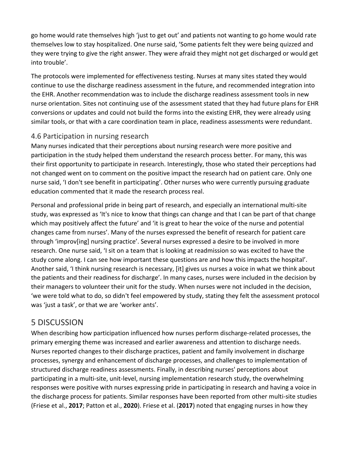go home would rate themselves high 'just to get out' and patients not wanting to go home would rate themselves low to stay hospitalized. One nurse said, 'Some patients felt they were being quizzed and they were trying to give the right answer. They were afraid they might not get discharged or would get into trouble'.

The protocols were implemented for effectiveness testing. Nurses at many sites stated they would continue to use the discharge readiness assessment in the future, and recommended integration into the EHR. Another recommendation was to include the discharge readiness assessment tools in new nurse orientation. Sites not continuing use of the assessment stated that they had future plans for EHR conversions or updates and could not build the forms into the existing EHR, they were already using similar tools, or that with a care coordination team in place, readiness assessments were redundant.

#### 4.6 Participation in nursing research

Many nurses indicated that their perceptions about nursing research were more positive and participation in the study helped them understand the research process better. For many, this was their first opportunity to participate in research. Interestingly, those who stated their perceptions had not changed went on to comment on the positive impact the research had on patient care. Only one nurse said, 'I don't see benefit in participating'. Other nurses who were currently pursuing graduate education commented that it made the research process real.

Personal and professional pride in being part of research, and especially an international multi‐site study, was expressed as 'It's nice to know that things can change and that I can be part of that change which may positively affect the future' and 'it is great to hear the voice of the nurse and potential changes came from nurses'. Many of the nurses expressed the benefit of research for patient care through 'improv[ing] nursing practice'. Several nurses expressed a desire to be involved in more research. One nurse said, 'I sit on a team that is looking at readmission so was excited to have the study come along. I can see how important these questions are and how this impacts the hospital'. Another said, 'I think nursing research is necessary, [it] gives us nurses a voice in what we think about the patients and their readiness for discharge'. In many cases, nurses were included in the decision by their managers to volunteer their unit for the study. When nurses were not included in the decision, 'we were told what to do, so didn't feel empowered by study, stating they felt the assessment protocol was 'just a task', or that we are 'worker ants'.

#### 5 DISCUSSION

When describing how participation influenced how nurses perform discharge-related processes, the primary emerging theme was increased and earlier awareness and attention to discharge needs. Nurses reported changes to their discharge practices, patient and family involvement in discharge processes, synergy and enhancement of discharge processes, and challenges to implementation of structured discharge readiness assessments. Finally, in describing nurses' perceptions about participating in a multi-site, unit-level, nursing implementation research study, the overwhelming responses were positive with nurses expressing pride in participating in research and having a voice in the discharge process for patients. Similar responses have been reported from other multi‐site studies (Friese et al., **2017**; Patton et al., **2020**). Friese et al. (**2017**) noted that engaging nurses in how they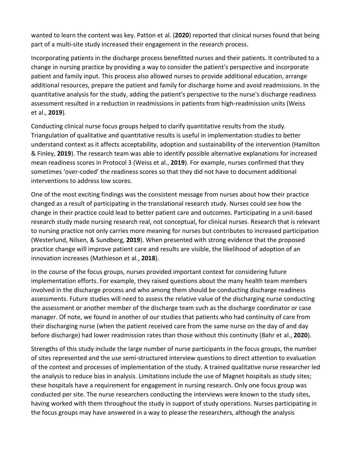wanted to learn the content was key. Patton et al. (**2020**) reported that clinical nurses found that being part of a multi-site study increased their engagement in the research process.

Incorporating patients in the discharge process benefitted nurses and their patients. It contributed to a change in nursing practice by providing a way to consider the patient's perspective and incorporate patient and family input. This process also allowed nurses to provide additional education, arrange additional resources, prepare the patient and family for discharge home and avoid readmissions. In the quantitative analysis for the study, adding the patient's perspective to the nurse's discharge readiness assessment resulted in a reduction in readmissions in patients from high‐readmission units (Weiss et al., **2019**).

Conducting clinical nurse focus groups helped to clarify quantitative results from the study. Triangulation of qualitative and quantitative results is useful in implementation studies to better understand context as it affects acceptability, adoption and sustainability of the intervention (Hamilton & Finley, **2019**). The research team was able to identify possible alternative explanations for increased mean readiness scores in Protocol 3 (Weiss et al., **2019**). For example, nurses confirmed that they sometimes 'over-coded' the readiness scores so that they did not have to document additional interventions to address low scores.

One of the most exciting findings was the consistent message from nurses about how their practice changed as a result of participating in the translational research study. Nurses could see how the change in their practice could lead to better patient care and outcomes. Participating in a unit‐based research study made nursing research real, not conceptual, for clinical nurses. Research that is relevant to nursing practice not only carries more meaning for nurses but contributes to increased participation (Westerlund, Nilsen, & Sundberg, **2019**). When presented with strong evidence that the proposed practice change will improve patient care and results are visible, the likelihood of adoption of an innovation increases (Mathieson et al., **2018**).

In the course of the focus groups, nurses provided important context for considering future implementation efforts. For example, they raised questions about the many health team members involved in the discharge process and who among them should be conducting discharge readiness assessments. Future studies will need to assess the relative value of the discharging nurse conducting the assessment or another member of the discharge team such as the discharge coordinator or case manager. Of note, we found in another of our studies that patients who had continuity of care from their discharging nurse (when the patient received care from the same nurse on the day of and day before discharge) had lower readmission rates than those without this continuity (Bahr et al., **2020**).

Strengths of this study include the large number of nurse participants in the focus groups, the number of sites represented and the use semi‐structured interview questions to direct attention to evaluation of the context and processes of implementation of the study. A trained qualitative nurse researcher led the analysis to reduce bias in analysis. Limitations include the use of Magnet hospitals as study sites; these hospitals have a requirement for engagement in nursing research. Only one focus group was conducted per site. The nurse researchers conducting the interviews were known to the study sites, having worked with them throughout the study in support of study operations. Nurses participating in the focus groups may have answered in a way to please the researchers, although the analysis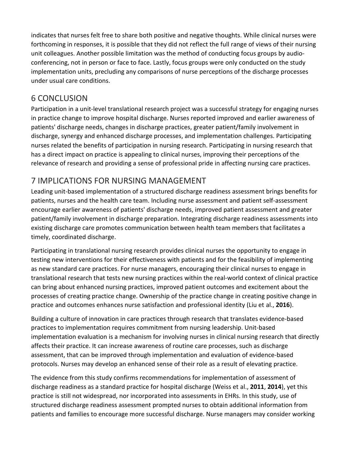indicates that nurses felt free to share both positive and negative thoughts. While clinical nurses were forthcoming in responses, it is possible that they did not reflect the full range of views of their nursing unit colleagues. Another possible limitation was the method of conducting focus groups by audio‐ conferencing, not in person or face to face. Lastly, focus groups were only conducted on the study implementation units, precluding any comparisons of nurse perceptions of the discharge processes under usual care conditions.

#### 6 CONCLUSION

Participation in a unit‐level translational research project was a successful strategy for engaging nurses in practice change to improve hospital discharge. Nurses reported improved and earlier awareness of patients' discharge needs, changes in discharge practices, greater patient/family involvement in discharge, synergy and enhanced discharge processes, and implementation challenges. Participating nurses related the benefits of participation in nursing research. Participating in nursing research that has a direct impact on practice is appealing to clinical nurses, improving their perceptions of the relevance of research and providing a sense of professional pride in affecting nursing care practices.

## 7 IMPLICATIONS FOR NURSING MANAGEMENT

Leading unit-based implementation of a structured discharge readiness assessment brings benefits for patients, nurses and the health care team. Including nurse assessment and patient self‐assessment encourage earlier awareness of patients' discharge needs, improved patient assessment and greater patient/family involvement in discharge preparation. Integrating discharge readiness assessments into existing discharge care promotes communication between health team members that facilitates a timely, coordinated discharge.

Participating in translational nursing research provides clinical nurses the opportunity to engage in testing new interventions for their effectiveness with patients and for the feasibility of implementing as new standard care practices. For nurse managers, encouraging their clinical nurses to engage in translational research that tests new nursing practices within the real‐world context of clinical practice can bring about enhanced nursing practices, improved patient outcomes and excitement about the processes of creating practice change. Ownership of the practice change in creating positive change in practice and outcomes enhances nurse satisfaction and professional identity (Liu et al., **2016**).

Building a culture of innovation in care practices through research that translates evidence‐based practices to implementation requires commitment from nursing leadership. Unit‐based implementation evaluation is a mechanism for involving nurses in clinical nursing research that directly affects their practice. It can increase awareness of routine care processes, such as discharge assessment, that can be improved through implementation and evaluation of evidence‐based protocols. Nurses may develop an enhanced sense of their role as a result of elevating practice.

The evidence from this study confirms recommendations for implementation of assessment of discharge readiness as a standard practice for hospital discharge (Weiss et al., **2011**, **2014**), yet this practice is still not widespread, nor incorporated into assessments in EHRs. In this study, use of structured discharge readiness assessment prompted nurses to obtain additional information from patients and families to encourage more successful discharge. Nurse managers may consider working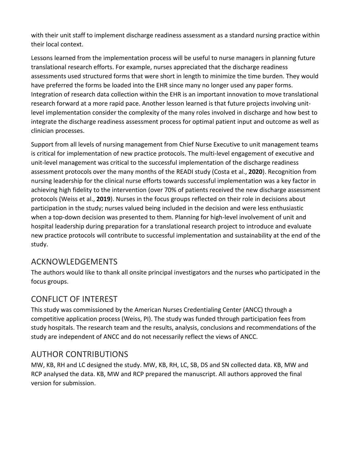with their unit staff to implement discharge readiness assessment as a standard nursing practice within their local context.

Lessons learned from the implementation process will be useful to nurse managers in planning future translational research efforts. For example, nurses appreciated that the discharge readiness assessments used structured forms that were short in length to minimize the time burden. They would have preferred the forms be loaded into the EHR since many no longer used any paper forms. Integration of research data collection within the EHR is an important innovation to move translational research forward at a more rapid pace. Another lesson learned is that future projects involving unit‐ level implementation consider the complexity of the many roles involved in discharge and how best to integrate the discharge readiness assessment process for optimal patient input and outcome as well as clinician processes.

Support from all levels of nursing management from Chief Nurse Executive to unit management teams is critical for implementation of new practice protocols. The multi-level engagement of executive and unit-level management was critical to the successful implementation of the discharge readiness assessment protocols over the many months of the READI study (Costa et al., **2020**). Recognition from nursing leadership for the clinical nurse efforts towards successful implementation was a key factor in achieving high fidelity to the intervention (over 70% of patients received the new discharge assessment protocols (Weiss et al., **2019**). Nurses in the focus groups reflected on their role in decisions about participation in the study; nurses valued being included in the decision and were less enthusiastic when a top-down decision was presented to them. Planning for high-level involvement of unit and hospital leadership during preparation for a translational research project to introduce and evaluate new practice protocols will contribute to successful implementation and sustainability at the end of the study.

## ACKNOWLEDGEMENTS

The authors would like to thank all onsite principal investigators and the nurses who participated in the focus groups.

## CONFLICT OF INTEREST

This study was commissioned by the American Nurses Credentialing Center (ANCC) through a competitive application process (Weiss, PI). The study was funded through participation fees from study hospitals. The research team and the results, analysis, conclusions and recommendations of the study are independent of ANCC and do not necessarily reflect the views of ANCC.

## AUTHOR CONTRIBUTIONS

MW, KB, RH and LC designed the study. MW, KB, RH, LC, SB, DS and SN collected data. KB, MW and RCP analysed the data. KB, MW and RCP prepared the manuscript. All authors approved the final version for submission.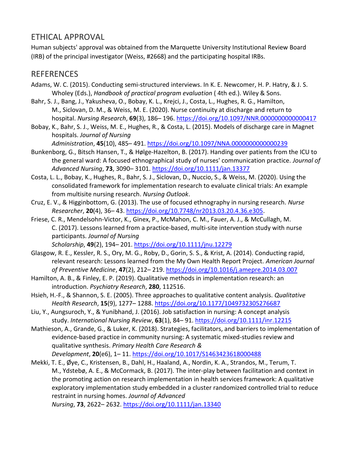#### ETHICAL APPROVAL

Human subjects' approval was obtained from the Marquette University Institutional Review Board (IRB) of the principal investigator (Weiss, #2668) and the participating hospital IRBs.

#### REFERENCES

- Adams, W. C. (2015). Conducting semi‐structured interviews. In K. E. Newcomer, H. P. Hatry, & J. S. Wholey (Eds.), *Handbook of practical program evaluation* ( 4th ed.). Wiley & Sons.
- Bahr, S. J., Bang, J., Yakusheva, O., Bobay, K. L., Krejci, J., Costa, L., Hughes, R. G., Hamilton, M., Siclovan, D. M., & Weiss, M. E. (2020). Nurse continuity at discharge and return to hospital. *Nursing Research*, **69**(3), 186– 196. <https://doi.org/10.1097/NNR.0000000000000417>
- Bobay, K., Bahr, S. J., Weiss, M. E., Hughes, R., & Costa, L. (2015). Models of discharge care in Magnet hospitals. *Journal of Nursing*

*Administration*, **45**(10), 485– 491. <https://doi.org/10.1097/NNA.0000000000000239>

- Bunkenborg, G., Bitsch Hansen, T., & Hølge‐Hazelton, B. (2017). Handing over patients from the ICU to the general ward: A focused ethnographical study of nurses' communication practice. *Journal of Advanced Nursing*, **73**, 3090– 3101. <https://doi.org/10.1111/jan.13377>
- Costa, L. L., Bobay, K., Hughes, R., Bahr, S. J., Siclovan, D., Nuccio, S., & Weiss, M. (2020). Using the consolidated framework for implementation research to evaluate clinical trials: An example from multisite nursing research. *Nursing Outlook*.
- Cruz, E. V., & Higginbottom, G. (2013). The use of focused ethnography in nursing research. *Nurse Researcher*, **20**(4), 36– 43. [https://doi.org/10.7748/nr2013.03.20.4.36.e305.](https://doi.org/10.7748/nr2013.03.20.4.36.e305)
- Friese, C. R., Mendelsohn‐Victor, K., Ginex, P., McMahon, C. M., Fauer, A. J., & McCullagh, M. C. (2017). Lessons learned from a practice‐based, multi‐site intervention study with nurse participants. *Journal of Nursing*

*Scholarship*, **49**(2), 194– 201. <https://doi.org/10.1111/jnu.12279>

- Glasgow, R. E., Kessler, R. S., Ory, M. G., Roby, D., Gorin, S. S., & Krist, A. (2014). Conducting rapid, relevant research: Lessons learned from the My Own Health Report Project. *American Journal of Preventive Medicine*, **47**(2), 212– 219. <https://doi.org/10.1016/j.amepre.2014.03.007>
- Hamilton, A. B., & Finley, E. P. (2019). Qualitative methods in implementation research: an introduction. *Psychiatry Research*, **280**, 112516.
- Hsieh, H.‐F., & Shannon, S. E. (2005). Three approaches to qualitative content analysis. *Qualitative Health Research*, **15**(9), 1277– 1288. <https://doi.org/10.1177/1049732305276687>
- Liu, Y., Aungsuroch, Y., & Yunibhand, J. (2016). Job satisfaction in nursing: A concept analysis study. *International Nursing Review*, **63**(1), 84– 91. <https://doi.org/10.1111/inr.12215>
- Mathieson, A., Grande, G., & Luker, K. (2018). Strategies, facilitators, and barriers to implementation of evidence‐based practice in community nursing: A systematic mixed‐studies review and qualitative synthesis. *Primary Health Care Research & Development*, **20**(e6), 1– 11. <https://doi.org/10.1017/S1463423618000488>

Mekki, T. E., Øye, C., Kristensen, B., Dahl, H., Haaland, A., Nordin, K. A., Strandos, M., Terum, T. M., Ydstebø, A. E., & McCormack, B. (2017). The inter‐play between facilitation and context in the promoting action on research implementation in health services framework: A qualitative exploratory implementation study embedded in a cluster randomized controlled trial to reduce restraint in nursing homes. *Journal of Advanced Nursing*, **73**, 2622– 2632. <https://doi.org/10.1111/jan.13340>